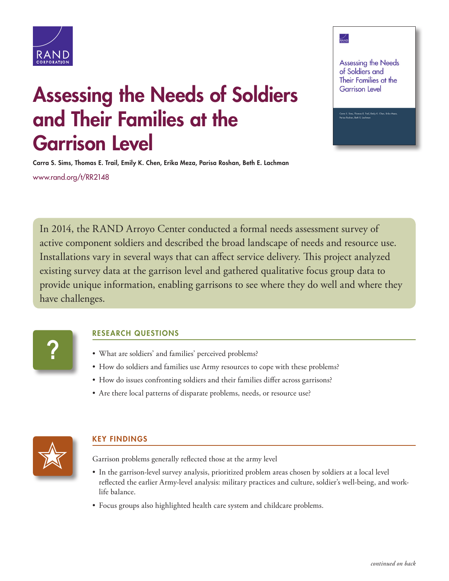

# Assessing the Needs of Soldiers and Their Families at the Garrison Level

Carra S. Sims, Thomas E. Trail, Emily K. Chen, Erika Meza, Parisa Roshan, Beth E. Lachman

[www.rand.org/t/RR2148](http://www.rand.org/t/RR2148)

In 2014, the RAND Arroyo Center conducted a formal needs assessment survey of active component soldiers and described the broad landscape of needs and resource use. Installations vary in several ways that can affect service delivery. This project analyzed existing survey data at the garrison level and gathered qualitative focus group data to provide unique information, enabling garrisons to see where they do well and where they have challenges.

**?**

## RESEARCH QUESTIONS

- What are soldiers' and families' perceived problems?
- How do soldiers and families use Army resources to cope with these problems?
- How do issues confronting soldiers and their families differ across garrisons?
- Are there local patterns of disparate problems, needs, or resource use?



## KEY FINDINGS

Garrison problems generally reflected those at the army level

- In the garrison-level survey analysis, prioritized problem areas chosen by soldiers at a local level reflected the earlier Army-level analysis: military practices and culture, soldier's well-being, and worklife balance.
- Focus groups also highlighted health care system and childcare problems.

#### $\frac{1}{\sqrt{2}}$

Assessing the Needs of Soldiers and Their Families at the **Garrison Level**